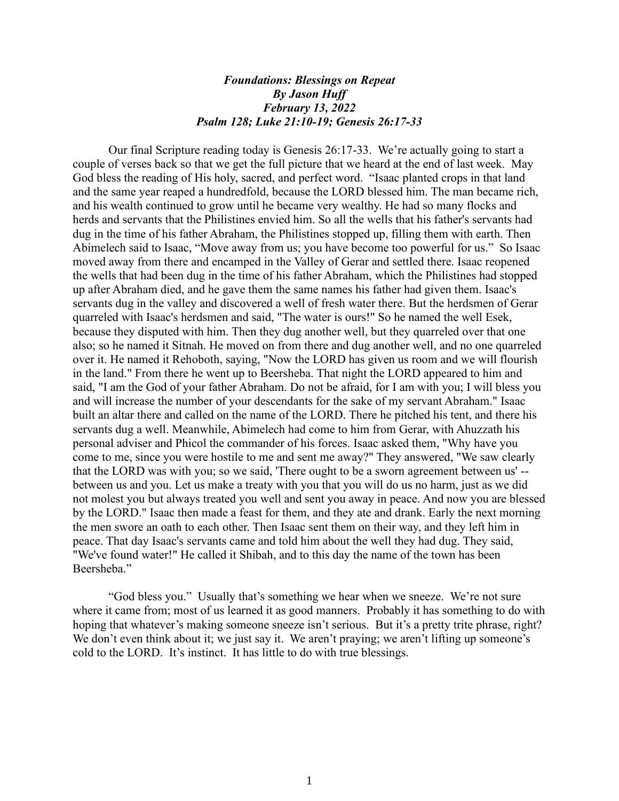## *Foundations: Blessings on Repeat By Jason Huff February 13, 2022 Psalm 128; Luke 21:10-19; Genesis 26:17-33*

Our final Scripture reading today is Genesis 26:17-33. We're actually going to start a couple of verses back so that we get the full picture that we heard at the end of last week. May God bless the reading of His holy, sacred, and perfect word. "Isaac planted crops in that land and the same year reaped a hundredfold, because the LORD blessed him. The man became rich, and his wealth continued to grow until he became very wealthy. He had so many flocks and herds and servants that the Philistines envied him. So all the wells that his father's servants had dug in the time of his father Abraham, the Philistines stopped up, filling them with earth. Then Abimelech said to Isaac, "Move away from us; you have become too powerful for us." So Isaac moved away from there and encamped in the Valley of Gerar and settled there. Isaac reopened the wells that had been dug in the time of his father Abraham, which the Philistines had stopped up after Abraham died, and he gave them the same names his father had given them. Isaac's servants dug in the valley and discovered a well of fresh water there. But the herdsmen of Gerar quarreled with Isaac's herdsmen and said, "The water is ours!" So he named the well Esek, because they disputed with him. Then they dug another well, but they quarreled over that one also; so he named it Sitnah. He moved on from there and dug another well, and no one quarreled over it. He named it Rehoboth, saying, "Now the LORD has given us room and we will flourish in the land." From there he went up to Beersheba. That night the LORD appeared to him and said, "I am the God of your father Abraham. Do not be afraid, for I am with you; I will bless you and will increase the number of your descendants for the sake of my servant Abraham." Isaac built an altar there and called on the name of the LORD. There he pitched his tent, and there his servants dug a well. Meanwhile, Abimelech had come to him from Gerar, with Ahuzzath his personal adviser and Phicol the commander of his forces. Isaac asked them, "Why have you come to me, since you were hostile to me and sent me away?" They answered, "We saw clearly that the LORD was with you; so we said, 'There ought to be a sworn agreement between us' - between us and you. Let us make a treaty with you that you will do us no harm, just as we did not molest you but always treated you well and sent you away in peace. And now you are blessed by the LORD." Isaac then made a feast for them, and they ate and drank. Early the next morning the men swore an oath to each other. Then Isaac sent them on their way, and they left him in peace. That day Isaac's servants came and told him about the well they had dug. They said, "We've found water!" He called it Shibah, and to this day the name of the town has been Beersheba."

"God bless you." Usually that's something we hear when we sneeze. We're not sure where it came from; most of us learned it as good manners. Probably it has something to do with hoping that whatever's making someone sneeze isn't serious. But it's a pretty trite phrase, right? We don't even think about it; we just say it. We aren't praying; we aren't lifting up someone's cold to the LORD. It's instinct. It has little to do with true blessings.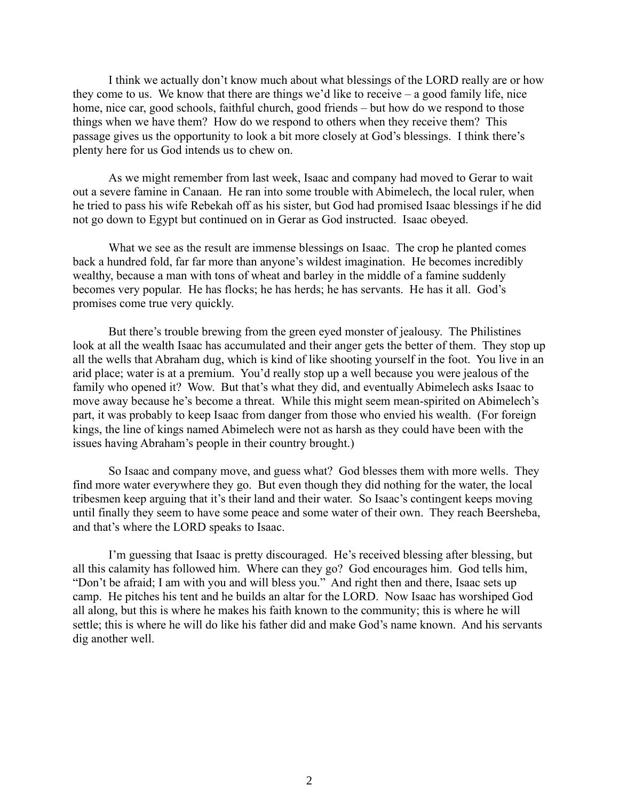I think we actually don't know much about what blessings of the LORD really are or how they come to us. We know that there are things we'd like to receive – a good family life, nice home, nice car, good schools, faithful church, good friends – but how do we respond to those things when we have them? How do we respond to others when they receive them? This passage gives us the opportunity to look a bit more closely at God's blessings. I think there's plenty here for us God intends us to chew on.

As we might remember from last week, Isaac and company had moved to Gerar to wait out a severe famine in Canaan. He ran into some trouble with Abimelech, the local ruler, when he tried to pass his wife Rebekah off as his sister, but God had promised Isaac blessings if he did not go down to Egypt but continued on in Gerar as God instructed. Isaac obeyed.

What we see as the result are immense blessings on Isaac. The crop he planted comes back a hundred fold, far far more than anyone's wildest imagination. He becomes incredibly wealthy, because a man with tons of wheat and barley in the middle of a famine suddenly becomes very popular. He has flocks; he has herds; he has servants. He has it all. God's promises come true very quickly.

But there's trouble brewing from the green eyed monster of jealousy. The Philistines look at all the wealth Isaac has accumulated and their anger gets the better of them. They stop up all the wells that Abraham dug, which is kind of like shooting yourself in the foot. You live in an arid place; water is at a premium. You'd really stop up a well because you were jealous of the family who opened it? Wow. But that's what they did, and eventually Abimelech asks Isaac to move away because he's become a threat. While this might seem mean-spirited on Abimelech's part, it was probably to keep Isaac from danger from those who envied his wealth. (For foreign kings, the line of kings named Abimelech were not as harsh as they could have been with the issues having Abraham's people in their country brought.)

So Isaac and company move, and guess what? God blesses them with more wells. They find more water everywhere they go. But even though they did nothing for the water, the local tribesmen keep arguing that it's their land and their water. So Isaac's contingent keeps moving until finally they seem to have some peace and some water of their own. They reach Beersheba, and that's where the LORD speaks to Isaac.

I'm guessing that Isaac is pretty discouraged. He's received blessing after blessing, but all this calamity has followed him. Where can they go? God encourages him. God tells him, "Don't be afraid; I am with you and will bless you." And right then and there, Isaac sets up camp. He pitches his tent and he builds an altar for the LORD. Now Isaac has worshiped God all along, but this is where he makes his faith known to the community; this is where he will settle; this is where he will do like his father did and make God's name known. And his servants dig another well.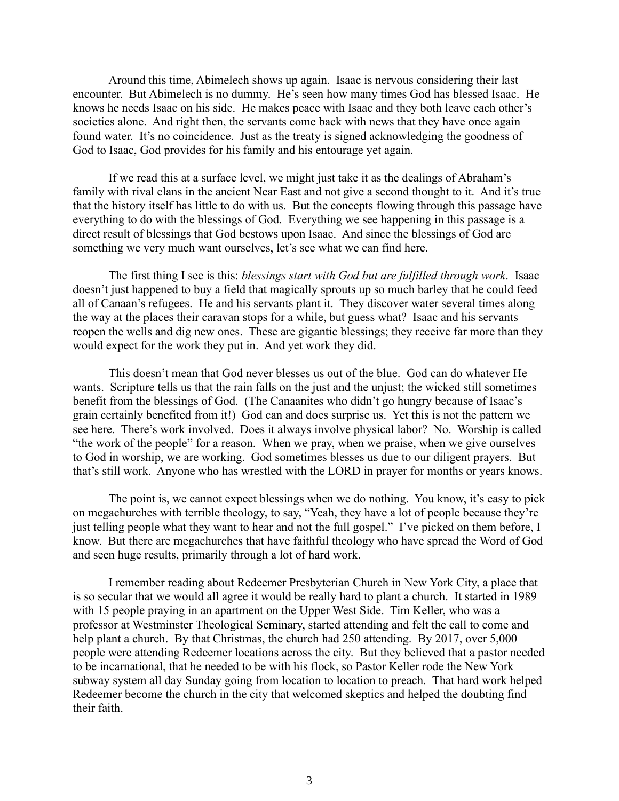Around this time, Abimelech shows up again. Isaac is nervous considering their last encounter. But Abimelech is no dummy. He's seen how many times God has blessed Isaac. He knows he needs Isaac on his side. He makes peace with Isaac and they both leave each other's societies alone. And right then, the servants come back with news that they have once again found water. It's no coincidence. Just as the treaty is signed acknowledging the goodness of God to Isaac, God provides for his family and his entourage yet again.

If we read this at a surface level, we might just take it as the dealings of Abraham's family with rival clans in the ancient Near East and not give a second thought to it. And it's true that the history itself has little to do with us. But the concepts flowing through this passage have everything to do with the blessings of God. Everything we see happening in this passage is a direct result of blessings that God bestows upon Isaac. And since the blessings of God are something we very much want ourselves, let's see what we can find here.

The first thing I see is this: *blessings start with God but are fulfilled through work*. Isaac doesn't just happened to buy a field that magically sprouts up so much barley that he could feed all of Canaan's refugees. He and his servants plant it. They discover water several times along the way at the places their caravan stops for a while, but guess what? Isaac and his servants reopen the wells and dig new ones. These are gigantic blessings; they receive far more than they would expect for the work they put in. And yet work they did.

This doesn't mean that God never blesses us out of the blue. God can do whatever He wants. Scripture tells us that the rain falls on the just and the unjust; the wicked still sometimes benefit from the blessings of God. (The Canaanites who didn't go hungry because of Isaac's grain certainly benefited from it!) God can and does surprise us. Yet this is not the pattern we see here. There's work involved. Does it always involve physical labor? No. Worship is called "the work of the people" for a reason. When we pray, when we praise, when we give ourselves to God in worship, we are working. God sometimes blesses us due to our diligent prayers. But that's still work. Anyone who has wrestled with the LORD in prayer for months or years knows.

The point is, we cannot expect blessings when we do nothing. You know, it's easy to pick on megachurches with terrible theology, to say, "Yeah, they have a lot of people because they're just telling people what they want to hear and not the full gospel." I've picked on them before, I know. But there are megachurches that have faithful theology who have spread the Word of God and seen huge results, primarily through a lot of hard work.

I remember reading about Redeemer Presbyterian Church in New York City, a place that is so secular that we would all agree it would be really hard to plant a church. It started in 1989 with 15 people praying in an apartment on the Upper West Side. Tim Keller, who was a professor at Westminster Theological Seminary, started attending and felt the call to come and help plant a church. By that Christmas, the church had 250 attending. By 2017, over 5,000 people were attending Redeemer locations across the city. But they believed that a pastor needed to be incarnational, that he needed to be with his flock, so Pastor Keller rode the New York subway system all day Sunday going from location to location to preach. That hard work helped Redeemer become the church in the city that welcomed skeptics and helped the doubting find their faith.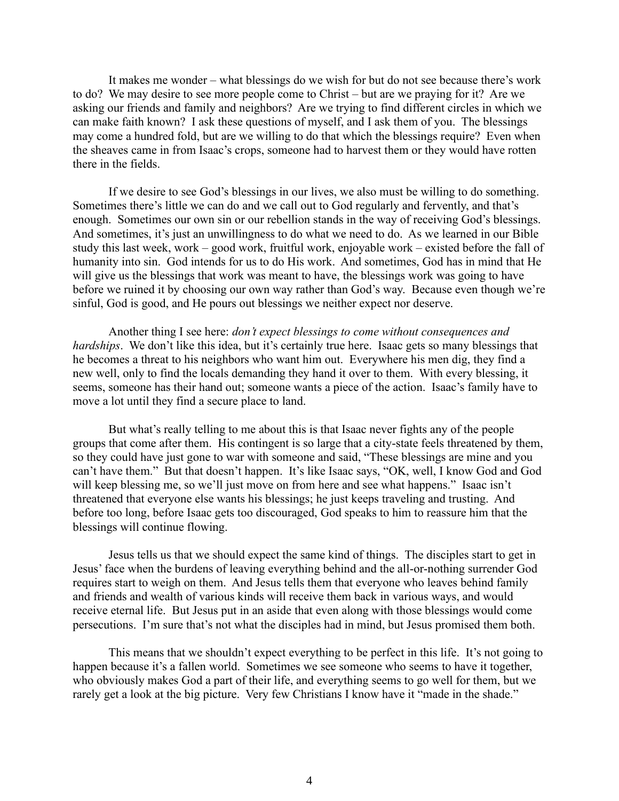It makes me wonder – what blessings do we wish for but do not see because there's work to do? We may desire to see more people come to Christ – but are we praying for it? Are we asking our friends and family and neighbors? Are we trying to find different circles in which we can make faith known? I ask these questions of myself, and I ask them of you. The blessings may come a hundred fold, but are we willing to do that which the blessings require? Even when the sheaves came in from Isaac's crops, someone had to harvest them or they would have rotten there in the fields.

If we desire to see God's blessings in our lives, we also must be willing to do something. Sometimes there's little we can do and we call out to God regularly and fervently, and that's enough. Sometimes our own sin or our rebellion stands in the way of receiving God's blessings. And sometimes, it's just an unwillingness to do what we need to do. As we learned in our Bible study this last week, work – good work, fruitful work, enjoyable work – existed before the fall of humanity into sin. God intends for us to do His work. And sometimes, God has in mind that He will give us the blessings that work was meant to have, the blessings work was going to have before we ruined it by choosing our own way rather than God's way. Because even though we're sinful, God is good, and He pours out blessings we neither expect nor deserve.

Another thing I see here: *don't expect blessings to come without consequences and hardships*. We don't like this idea, but it's certainly true here. Isaac gets so many blessings that he becomes a threat to his neighbors who want him out. Everywhere his men dig, they find a new well, only to find the locals demanding they hand it over to them. With every blessing, it seems, someone has their hand out; someone wants a piece of the action. Isaac's family have to move a lot until they find a secure place to land.

But what's really telling to me about this is that Isaac never fights any of the people groups that come after them. His contingent is so large that a city-state feels threatened by them, so they could have just gone to war with someone and said, "These blessings are mine and you can't have them." But that doesn't happen. It's like Isaac says, "OK, well, I know God and God will keep blessing me, so we'll just move on from here and see what happens." Isaac isn't threatened that everyone else wants his blessings; he just keeps traveling and trusting. And before too long, before Isaac gets too discouraged, God speaks to him to reassure him that the blessings will continue flowing.

Jesus tells us that we should expect the same kind of things. The disciples start to get in Jesus' face when the burdens of leaving everything behind and the all-or-nothing surrender God requires start to weigh on them. And Jesus tells them that everyone who leaves behind family and friends and wealth of various kinds will receive them back in various ways, and would receive eternal life. But Jesus put in an aside that even along with those blessings would come persecutions. I'm sure that's not what the disciples had in mind, but Jesus promised them both.

This means that we shouldn't expect everything to be perfect in this life. It's not going to happen because it's a fallen world. Sometimes we see someone who seems to have it together, who obviously makes God a part of their life, and everything seems to go well for them, but we rarely get a look at the big picture. Very few Christians I know have it "made in the shade."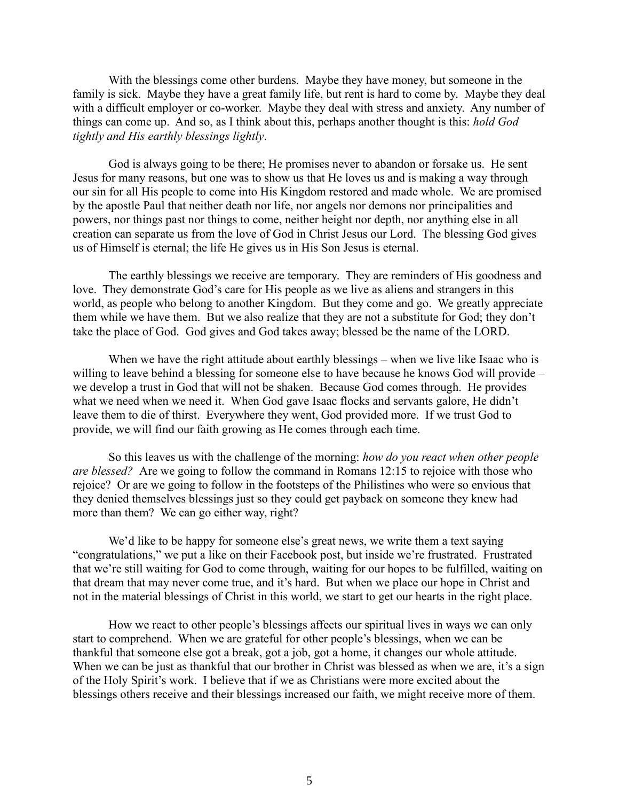With the blessings come other burdens. Maybe they have money, but someone in the family is sick. Maybe they have a great family life, but rent is hard to come by. Maybe they deal with a difficult employer or co-worker. Maybe they deal with stress and anxiety. Any number of things can come up. And so, as I think about this, perhaps another thought is this: *hold God tightly and His earthly blessings lightly*.

God is always going to be there; He promises never to abandon or forsake us. He sent Jesus for many reasons, but one was to show us that He loves us and is making a way through our sin for all His people to come into His Kingdom restored and made whole. We are promised by the apostle Paul that neither death nor life, nor angels nor demons nor principalities and powers, nor things past nor things to come, neither height nor depth, nor anything else in all creation can separate us from the love of God in Christ Jesus our Lord. The blessing God gives us of Himself is eternal; the life He gives us in His Son Jesus is eternal.

The earthly blessings we receive are temporary. They are reminders of His goodness and love. They demonstrate God's care for His people as we live as aliens and strangers in this world, as people who belong to another Kingdom. But they come and go. We greatly appreciate them while we have them. But we also realize that they are not a substitute for God; they don't take the place of God. God gives and God takes away; blessed be the name of the LORD.

When we have the right attitude about earthly blessings – when we live like Isaac who is willing to leave behind a blessing for someone else to have because he knows God will provide – we develop a trust in God that will not be shaken. Because God comes through. He provides what we need when we need it. When God gave Isaac flocks and servants galore, He didn't leave them to die of thirst. Everywhere they went, God provided more. If we trust God to provide, we will find our faith growing as He comes through each time.

So this leaves us with the challenge of the morning: *how do you react when other people are blessed?* Are we going to follow the command in Romans 12:15 to rejoice with those who rejoice? Or are we going to follow in the footsteps of the Philistines who were so envious that they denied themselves blessings just so they could get payback on someone they knew had more than them? We can go either way, right?

We'd like to be happy for someone else's great news, we write them a text saying "congratulations," we put a like on their Facebook post, but inside we're frustrated. Frustrated that we're still waiting for God to come through, waiting for our hopes to be fulfilled, waiting on that dream that may never come true, and it's hard. But when we place our hope in Christ and not in the material blessings of Christ in this world, we start to get our hearts in the right place.

How we react to other people's blessings affects our spiritual lives in ways we can only start to comprehend. When we are grateful for other people's blessings, when we can be thankful that someone else got a break, got a job, got a home, it changes our whole attitude. When we can be just as thankful that our brother in Christ was blessed as when we are, it's a sign of the Holy Spirit's work. I believe that if we as Christians were more excited about the blessings others receive and their blessings increased our faith, we might receive more of them.